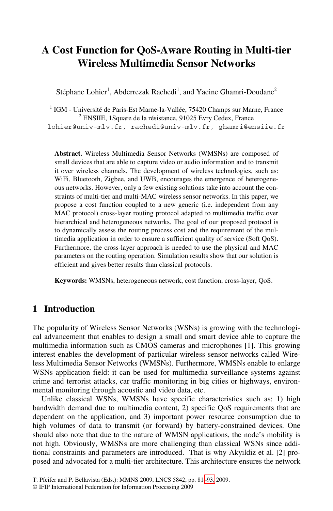## **A Cost Function for QoS-Aware Routing in Multi-tier Wireless Multimedia Sensor Networks**

Stéphane Lohier<sup>1</sup>, Abderrezak Rachedi<sup>1</sup>, and Yacine Ghamri-Doudane<sup>2</sup>

<sup>1</sup> IGM - Université de Paris-Est Marne-la-Vallée, 75420 Champs sur Marne, France<br><sup>2</sup> ENSIJE, 1 Square de la résistance, 01025 Evry Cedex, France ENSIIE, 1Square de la résistance, 91025 Evry Cedex, France lohier@univ-mlv.fr, rachedi@univ-mlv.fr, ghamri@ensiie.fr

**Abstract.** Wireless Multimedia Sensor Networks (WMSNs) are composed of small devices that are able to capture video or audio information and to transmit it over wireless channels. The development of wireless technologies, such as: WiFi, Bluetooth, Zigbee, and UWB, encourages the emergence of heterogeneous networks. However, only a few existing solutions take into account the constraints of multi-tier and multi-MAC wireless sensor networks. In this paper, we propose a cost function coupled to a new generic (i.e. independent from any MAC protocol) cross-layer routing protocol adapted to multimedia traffic over hierarchical and heterogeneous networks. The goal of our proposed protocol is to dynamically assess the routing process cost and the requirement of the multimedia application in order to ensure a sufficient quality of service (Soft QoS). Furthermore, the cross-layer approach is needed to use the physical and MAC parameters on the routing operation. Simulation results show that our solution is efficient and gives better results than classical protocols.

**Keywords:** WMSNs, heterogeneous network, cost function, cross-layer, QoS.

## **1 Introduction**

The popularity of Wireless Sensor Networks (WSNs) is growing with the technological advancement that enables to design a small and smart device able to capture the multimedia information such as CMOS cameras and microphones [1]. This growing interest enables the development of particular wireless sensor networks called Wireless Multimedia Sensor Networks (WMSNs). Furthermore, WMSNs enable to enlarge WSNs application field: it can be used for multimedia surveillance systems against crime and terrorist attacks, car traffic monitoring in big cities or highways, environmental monitoring through acoustic and video data, etc.

Unlike classical WSNs, WMSNs have specific characteristics such as: 1) high bandwidth demand due to multim[edia](#page-12-0) content, 2) specific QoS requirements that are dependent on the application, and 3) important power resource consumption due to high volumes of data to transmit (or forward) by battery-constrained devices. One should also note that due to the nature of WMSN applications, the node's mobility is not high. Obviously, WMSNs are more challenging than classical WSNs since additional constraints and parameters are introduced. That is why Akyildiz et al. [2] proposed and advocated for a multi-tier architecture. This architecture ensures the network

T. Pfeifer and P. Bellavista (Eds.): MMNS 2009, LNCS 5842, pp. 81–93, 2009.

<sup>©</sup> IFIP International Federation for Information Processing 2009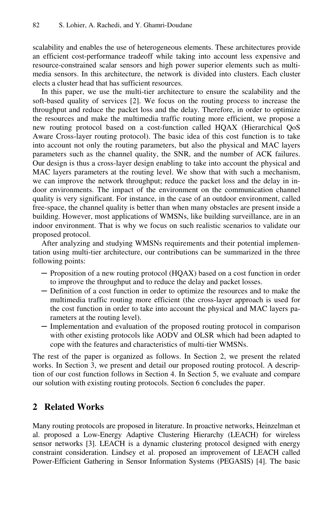scalability and enables the use of heterogeneous elements. These architectures provide an efficient cost-performance tradeoff while taking into account less expensive and resource-constrained scalar sensors and high power superior elements such as multimedia sensors. In this architecture, the network is divided into clusters. Each cluster elects a cluster head that has sufficient resources.

In this paper, we use the multi-tier architecture to ensure the scalability and the soft-based quality of services [2]. We focus on the routing process to increase the throughput and reduce the packet loss and the delay. Therefore, in order to optimize the resources and make the multimedia traffic routing more efficient, we propose a new routing protocol based on a cost-function called HQAX (Hierarchical QoS Aware Cross-layer routing protocol). The basic idea of this cost function is to take into account not only the routing parameters, but also the physical and MAC layers parameters such as the channel quality, the SNR, and the number of ACK failures. Our design is thus a cross-layer design enabling to take into account the physical and MAC layers parameters at the routing level. We show that with such a mechanism, we can improve the network throughput; reduce the packet loss and the delay in indoor environments. The impact of the environment on the communication channel quality is very significant. For instance, in the case of an outdoor environment, called free-space, the channel quality is better than when many obstacles are present inside a building. However, most applications of WMSNs, like building surveillance, are in an indoor environment. That is why we focus on such realistic scenarios to validate our proposed protocol.

After analyzing and studying WMSNs requirements and their potential implementation using multi-tier architecture, our contributions can be summarized in the three following points:

- ─ Proposition of a new routing protocol (HQAX) based on a cost function in order to improve the throughput and to reduce the delay and packet losses.
- ─ Definition of a cost function in order to optimize the resources and to make the multimedia traffic routing more efficient (the cross-layer approach is used for the cost function in order to take into account the physical and MAC layers parameters at the routing level).
- ─ Implementation and evaluation of the proposed routing protocol in comparison with other existing protocols like AODV and OLSR which had been adapted to cope with the features and characteristics of multi-tier WMSNs.

The rest of the paper is organized as follows. In Section 2, we present the related works. In Section 3, we present and detail our proposed routing protocol. A description of our cost function follows in Section 4. In Section 5, we evaluate and compare our solution with existing routing protocols. Section 6 concludes the paper.

## **2 Related Works**

Many routing protocols are proposed in literature. In proactive networks, Heinzelman et al. proposed a Low-Energy Adaptive Clustering Hierarchy (LEACH) for wireless sensor networks [3]. LEACH is a dynamic clustering protocol designed with energy constraint consideration. Lindsey et al. proposed an improvement of LEACH called Power-Efficient Gathering in Sensor Information Systems (PEGASIS) [4]. The basic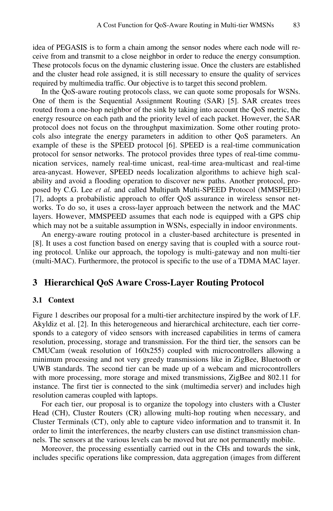idea of PEGASIS is to form a chain among the sensor nodes where each node will receive from and transmit to a close neighbor in order to reduce the energy consumption. These protocols focus on the dynamic clustering issue. Once the clusters are established and the cluster head role assigned, it is still necessary to ensure the quality of services required by multimedia traffic. Our objective is to target this second problem.

In the QoS-aware routing protocols class, we can quote some proposals for WSNs. One of them is the Sequential Assignment Routing (SAR) [5]. SAR creates trees routed from a one-hop neighbor of the sink by taking into account the QoS metric, the energy resource on each path and the priority level of each packet. However, the SAR protocol does not focus on the throughput maximization. Some other routing protocols also integrate the energy parameters in addition to other QoS parameters. An example of these is the SPEED protocol [6]. SPEED is a real-time communication protocol for sensor networks. The protocol provides three types of real-time communication services, namely real-time unicast, real-time area-multicast and real-time area-anycast. However, SPEED needs localization algorithms to achieve high scalability and avoid a flooding operation to discover new paths. Another protocol, proposed by C.G. Lee *et al.* and called Multipath Multi-SPEED Protocol (MMSPEED) [7], adopts a probabilistic approach to offer QoS assurance in wireless sensor networks. To do so, it uses a cross-layer approach between the network and the MAC layers. However, MMSPEED assumes that each node is equipped with a GPS chip which may not be a suitable assumption in WSNs, especially in indoor environments.

An energy-aware routing protocol in a cluster-based architecture is presented in [8]. It uses a cost function based on energy saving that is coupled with a source routing protocol. Unlike our approach, the topology is multi-gateway and non multi-tier (multi-MAC). Furthermore, the protocol is specific to the use of a TDMA MAC layer.

## **3 Hierarchical QoS Aware Cross-Layer Routing Protocol**

#### **3.1 Context**

Figure 1 describes our proposal for a multi-tier architecture inspired by the work of I.F. Akyldiz et al. [2]. In this heterogeneous and hierarchical architecture, each tier corresponds to a category of video sensors with increased capabilities in terms of camera resolution, processing, storage and transmission. For the third tier, the sensors can be CMUCam (weak resolution of 160x255) coupled with microcontrollers allowing a minimum processing and not very greedy transmissions like in ZigBee, Bluetooth or UWB standards. The second tier can be made up of a webcam and microcontrollers with more processing, more storage and mixed transmissions, ZigBee and 802.11 for instance. The first tier is connected to the sink (multimedia server) and includes high resolution cameras coupled with laptops.

For each tier, our proposal is to organize the topology into clusters with a Cluster Head (CH), Cluster Routers (CR) allowing multi-hop routing when necessary, and Cluster Terminals (CT), only able to capture video information and to transmit it. In order to limit the interferences, the nearby clusters can use distinct transmission channels. The sensors at the various levels can be moved but are not permanently mobile.

Moreover, the processing essentially carried out in the CHs and towards the sink, includes specific operations like compression, data aggregation (images from different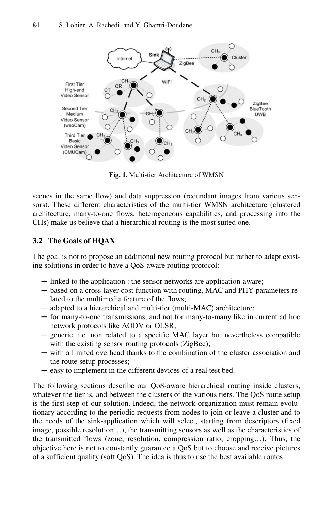

**Fig. 1.** Multi-tier Architecture of WMSN

scenes in the same flow) and data suppression (redundant images from various sensors). These different characteristics of the multi-tier WMSN architecture (clustered architecture, many-to-one flows, heterogeneous capabilities, and processing into the CHs) make us believe that a hierarchical routing is the most suited one.

#### **3.2 The Goals of HQAX**

The goal is not to propose an additional new routing protocol but rather to adapt existing solutions in order to have a QoS-aware routing protocol:

- ─ linked to the application : the sensor networks are application-aware;
- ─ based on a cross-layer cost function with routing, MAC and PHY parameters related to the multimedia feature of the flows;
- ─ adapted to a hierarchical and multi-tier (multi-MAC) architecture;
- ─ for many-to-one transmissions, and not for many-to-many like in current ad hoc network protocols like AODV or OLSR;
- ─ generic, i.e. non related to a specific MAC layer but nevertheless compatible with the existing sensor routing protocols (ZigBee);
- ─ with a limited overhead thanks to the combination of the cluster association and the route setup processes;
- ─ easy to implement in the different devices of a real test bed.

The following sections describe our QoS-aware hierarchical routing inside clusters, whatever the tier is, and between the clusters of the various tiers. The QoS route setup is the first step of our solution. Indeed, the network organization must remain evolutionary according to the periodic requests from nodes to join or leave a cluster and to the needs of the sink-application which will select, starting from descriptors (fixed image, possible resolution…), the transmitting sensors as well as the characteristics of the transmitted flows (zone, resolution, compression ratio, cropping…). Thus, the objective here is not to constantly guarantee a QoS but to choose and receive pictures of a sufficient quality (soft QoS). The idea is thus to use the best available routes.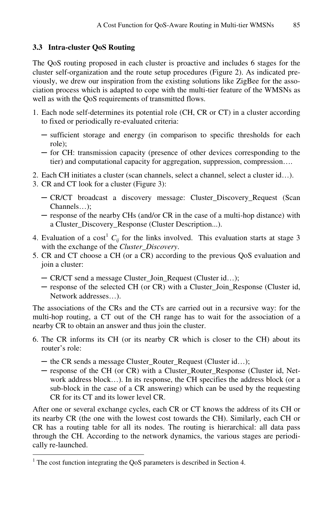## **3.3 Intra-cluster QoS Routing**

The QoS routing proposed in each cluster is proactive and includes 6 stages for the cluster self-organization and the route setup procedures (Figure 2). As indicated previously, we drew our inspiration from the existing solutions like ZigBee for the association process which is adapted to cope with the multi-tier feature of the WMSNs as well as with the QoS requirements of transmitted flows.

- 1. Each node self-determines its potential role (CH, CR or CT) in a cluster according to fixed or periodically re-evaluated criteria:
	- ─ sufficient storage and energy (in comparison to specific thresholds for each role);
	- ─ for CH: transmission capacity (presence of other devices corresponding to the tier) and computational capacity for aggregation, suppression, compression….
- 2. Each CH initiates a cluster (scan channels, select a channel, select a cluster id…).
- 3. CR and CT look for a cluster (Figure 3):
	- ─ CR/CT broadcast a discovery message: Cluster\_Discovery\_Request (Scan Channels…);
	- ─ response of the nearby CHs (and/or CR in the case of a multi-hop distance) with a Cluster\_Discovery\_Response (Cluster Description...).
- 4. Evaluation of a cost<sup>1</sup>  $C_{ii}$  for the links involved. This evaluation starts at stage 3 with the exchange of the *Cluster\_Discovery*.
- 5. CR and CT choose a CH (or a CR) according to the previous QoS evaluation and join a cluster:
	- ─ CR/CT send a message Cluster\_Join\_Request (Cluster id…);
	- ─ response of the selected CH (or CR) with a Cluster\_Join\_Response (Cluster id, Network addresses…).

The associations of the CRs and the CTs are carried out in a recursive way: for the multi-hop routing, a CT out of the CH range has to wait for the association of a nearby CR to obtain an answer and thus join the cluster.

- 6. The CR informs its CH (or its nearby CR which is closer to the CH) about its router's role:
	- ─ the CR sends a message Cluster\_Router\_Request (Cluster id…);
	- ─ response of the CH (or CR) with a Cluster\_Router\_Response (Cluster id, Network address block…). In its response, the CH specifies the address block (or a sub-block in the case of a CR answering) which can be used by the requesting CR for its CT and its lower level CR.

After one or several exchange cycles, each CR or CT knows the address of its CH or its nearby CR (the one with the lowest cost towards the CH). Similarly, each CH or CR has a routing table for all its nodes. The routing is hierarchical: all data pass through the CH. According to the network dynamics, the various stages are periodically re-launched.

j

 $1$ <sup>1</sup> The cost function integrating the QoS parameters is described in Section 4.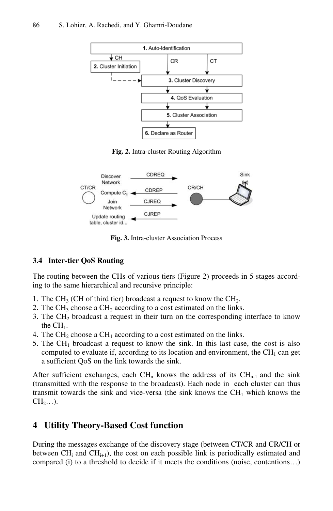

**Fig. 2.** Intra-cluster Routing Algorithm



**Fig. 3.** Intra-cluster Association Process

#### **3.4 Inter-tier QoS Routing**

The routing between the CHs of various tiers (Figure 2) proceeds in 5 stages according to the same hierarchical and recursive principle:

- 1. The CH<sub>3</sub> (CH of third tier) broadcast a request to know the CH<sub>2</sub>.
- 2. The CH<sub>3</sub> choose a CH<sub>2</sub> according to a cost estimated on the links.
- 3. The  $CH<sub>2</sub>$  broadcast a request in their turn on the corresponding interface to know the  $CH<sub>1</sub>$ .
- 4. The CH<sub>2</sub> choose a CH<sub>1</sub> according to a cost estimated on the links.
- 5. The CH<sub>1</sub> broadcast a request to know the sink. In this last case, the cost is also computed to evaluate if, according to its location and environment, the  $CH<sub>1</sub>$  can get a sufficient QoS on the link towards the sink.

After sufficient exchanges, each  $CH_n$  knows the address of its  $CH_{n-1}$  and the sink (transmitted with the response to the broadcast). Each node in each cluster can thus transmit towards the sink and vice-versa (the sink knows the  $CH<sub>1</sub>$  which knows the  $CH_2...$ ).

## **4 Utility Theory-Based Cost function**

During the messages exchange of the discovery stage (between CT/CR and CR/CH or between  $CH_i$  and  $CH_{i+1}$ ), the cost on each possible link is periodically estimated and compared (i) to a threshold to decide if it meets the conditions (noise, contentions…)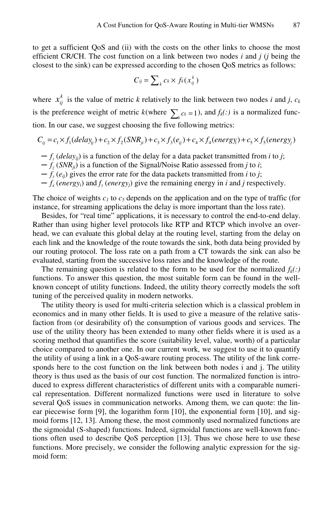to get a sufficient QoS and (ii) with the costs on the other links to choose the most efficient CR/CH. The cost function on a link between two nodes *i* and *j* (*j* being the closest to the sink) can be expressed according to the chosen QoS metrics as follows:

$$
C_{ij} = \sum\nolimits_k c_k \times f_k(x_{ij}^k)
$$

where  $x_{ij}^k$  is the value of metric *k* relatively to the link between two nodes *i* and *j*,  $c_k$ is the preference weight of metric  $k$ (where  $\sum_{k} c_k = 1$ ), and  $f_k(z)$  is a normalized function. In our case, we suggest choosing the five following metrics:

$$
C_{ij} = c_1 \times f_1(\text{delay}_{ij}) + c_2 \times f_2(\text{SNR}_{ji}) + c_3 \times f_3(e_{ij}) + c_4 \times f_4(\text{energy}) + c_5 \times f_5(\text{energy}_j)
$$

- $-f_i$  (*delay<sub>ij</sub>*) is a function of the delay for a data packet transmitted from *i* to *j*;
- $-f_2(SNR_{ji})$  is a function of the Signal/Noise Ratio assessed from *j* to *i*;
- $-f_3(e_{ii})$  gives the error rate for the data packets transmitted from *i* to *j*;
- $-f_4$  (*energy<sub>i</sub>*) and  $f_5$  (*energy<sub>i</sub>*) give the remaining energy in *i* and *j* respectively.

The choice of weights  $c_1$  to  $c_5$  depends on the application and on the type of traffic (for instance, for streaming applications the delay is more important than the loss rate).

Besides, for "real time" applications, it is necessary to control the end-to-end delay. Rather than using higher level protocols like RTP and RTCP which involve an overhead, we can evaluate this global delay at the routing level, starting from the delay on each link and the knowledge of the route towards the sink, both data being provided by our routing protocol. The loss rate on a path from a CT towards the sink can also be evaluated, starting from the successive loss rates and the knowledge of the route.

The remaining question is related to the form to be used for the normalized  $f_k(.)$ functions. To answer this question, the most suitable form can be found in the wellknown concept of utility functions. Indeed, the utility theory correctly models the soft tuning of the perceived quality in modern networks.

The utility theory is used for multi-criteria selection which is a classical problem in economics and in many other fields. It is used to give a measure of the relative satisfaction from (or desirability of) the consumption of various goods and services. The use of the utility theory has been extended to many other fields where it is used as a scoring method that quantifies the score (suitability level, value, worth) of a particular choice compared to another one. In our current work, we suggest to use it to quantify the utility of using a link in a QoS-aware routing process. The utility of the link corresponds here to the cost function on the link between both nodes i and j. The utility theory is thus used as the basis of our cost function. The normalized function is introduced to express different characteristics of different units with a comparable numerical representation. Different normalized functions were used in literature to solve several QoS issues in communication networks. Among them, we can quote: the linear piecewise form [9], the logarithm form [10], the exponential form [10], and sigmoid forms [12, 13]. Among these, the most commonly used normalized functions are the sigmoidal (S-shaped) functions. Indeed, sigmoidal functions are well-known functions often used to describe QoS perception [13]. Thus we chose here to use these functions. More precisely, we consider the following analytic expression for the sigmoid form: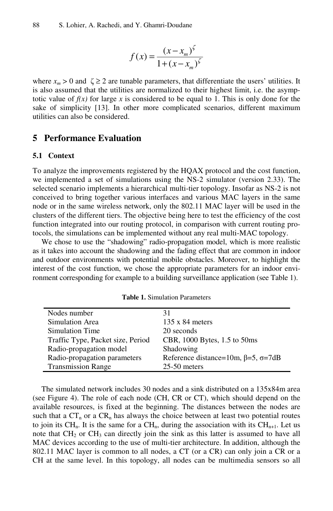$$
f(x) = \frac{(x - x_m)^{\zeta}}{1 + (x - x_m)^{\zeta}}
$$

where  $x_m > 0$  and  $\zeta \ge 2$  are tunable parameters, that differentiate the users' utilities. It is also assumed that the utilities are normalized to their highest limit, i.e. the asymptotic value of  $f(x)$  for large x is considered to be equal to 1. This is only done for the sake of simplicity [13]. In other more complicated scenarios, different maximum utilities can also be considered.

### **5 Performance Evaluation**

#### **5.1 Context**

To analyze the improvements registered by the HQAX protocol and the cost function, we implemented a set of simulations using the NS-2 simulator (version 2.33). The selected scenario implements a hierarchical multi-tier topology. Insofar as NS-2 is not conceived to bring together various interfaces and various MAC layers in the same node or in the same wireless network, only the 802.11 MAC layer will be used in the clusters of the different tiers. The objective being here to test the efficiency of the cost function integrated into our routing protocol, in comparison with current routing protocols, the simulations can be implemented without any real multi-MAC topology.

We chose to use the "shadowing" radio-propagation model, which is more realistic as it takes into account the shadowing and the fading effect that are common in indoor and outdoor environments with potential mobile obstacles. Moreover, to highlight the interest of the cost function, we chose the appropriate parameters for an indoor environment corresponding for example to a building surveillance application (see Table 1).

| Nodes number                      | 31                                                |
|-----------------------------------|---------------------------------------------------|
| Simulation Area                   | $135 \times 84$ meters                            |
| Simulation Time                   | 20 seconds                                        |
| Traffic Type, Packet size, Period | CBR, 1000 Bytes, 1.5 to 50ms                      |
| Radio-propagation model           | Shadowing                                         |
| Radio-propagation parameters      | Reference distance=10m, $\beta$ =5, $\sigma$ =7dB |
| <b>Transmission Range</b>         | $25-50$ meters                                    |

**Table 1.** Simulation Parameters

The simulated network includes 30 nodes and a sink distributed on a 135x84m area (see Figure 4). The role of each node (CH, CR or CT), which should depend on the available resources, is fixed at the beginning. The distances between the nodes are such that a  $CT_n$  or a  $CR_n$  has always the choice between at least two potential routes to join its  $CH_n$ . It is the same for a  $CH_n$ , during the association with its  $CH_{n+1}$ . Let us note that  $CH_2$  or  $CH_3$  can directly join the sink as this latter is assumed to have all MAC devices according to the use of multi-tier architecture. In addition, although the 802.11 MAC layer is common to all nodes, a CT (or a CR) can only join a CR or a CH at the same level. In this topology, all nodes can be multimedia sensors so all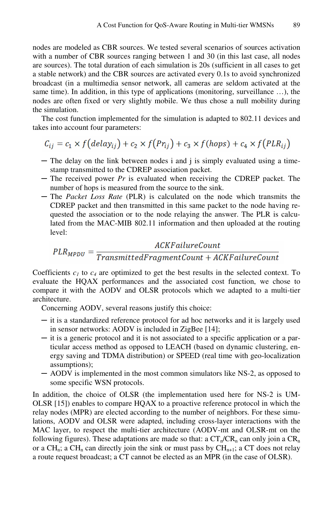nodes are modeled as CBR sources. We tested several scenarios of sources activation with a number of CBR sources ranging between 1 and 30 (in this last case, all nodes are sources). The total duration of each simulation is 20s (sufficient in all cases to get a stable network) and the CBR sources are activated every 0.1s to avoid synchronized broadcast (in a multimedia sensor network, all cameras are seldom activated at the same time). In addition, in this type of applications (monitoring, surveillance …), the nodes are often fixed or very slightly mobile. We thus chose a null mobility during the simulation.

The cost function implemented for the simulation is adapted to 802.11 devices and takes into account four parameters:

$$
C_{ij} = c_1 \times f\left(\frac{delay_{ij}}{r}\right) + c_2 \times f\left(\frac{Pr_{ij}}{r}\right) + c_3 \times f\left(\frac{hops}{r}\right) + c_4 \times f\left(\frac{PLR_{ij}}{r}\right)
$$

- ─ The delay on the link between nodes i and j is simply evaluated using a timestamp transmitted to the CDREP association packet.
- ─ The received power *Pr* is evaluated when receiving the CDREP packet. The number of hops is measured from the source to the sink.
- ─ The *Packet Loss Rate* (PLR) is calculated on the node which transmits the CDREP packet and then transmitted in this same packet to the node having requested the association or to the node relaying the answer. The PLR is calculated from the MAC-MIB 802.11 information and then uploaded at the routing level:

#### **ACKFailureCount**

# $\mathit{PLR}_{\mathit{MPDU}} = \frac{100 \times 1000 \times 1000 \times 1000 \times 1000 \times 1000 \times 1000 \times 1000 \times 1000 \times 1000 \times 1000 \times 1000 \times 1000 \times 1000 \times 1000 \times 1000 \times 1000 \times 1000 \times 1000 \times 1000 \times 1000 \times 1000 \times 1000 \times 1000 \times 1000 \times 1000 \times 1000 \times 1000 \times 1000 \times$

Coefficients  $c_1$  to  $c_4$  are optimized to get the best results in the selected context. To evaluate the HQAX performances and the associated cost function, we chose to compare it with the AODV and OLSR protocols which we adapted to a multi-tier architecture.

Concerning AODV, several reasons justify this choice:

- ─ it is a standardized reference protocol for ad hoc networks and it is largely used in sensor networks: AODV is included in ZigBee [14];
- ─ it is a generic protocol and it is not associated to a specific application or a particular access method as opposed to LEACH (based on dynamic clustering, energy saving and TDMA distribution) or SPEED (real time with geo-localization assumptions);
- ─ AODV is implemented in the most common simulators like NS-2, as opposed to some specific WSN protocols.

In addition, the choice of OLSR (the implementation used here for NS-2 is UM-OLSR [15]) enables to compare HQAX to a proactive reference protocol in which the relay nodes (MPR) are elected according to the number of neighbors. For these simulations, AODV and OLSR were adapted, including cross-layer interactions with the MAC layer, to respect the multi-tier architecture (AODV-mt and OLSR-mt on the following figures). These adaptations are made so that: a  $CT_p/CR_n$  can only join a  $CR_n$ or a  $CH_n$ ; a  $CH_n$  can directly join the sink or must pass by  $CH_{n+1}$ ; a CT does not relay a route request broadcast; a CT cannot be elected as an MPR (in the case of OLSR).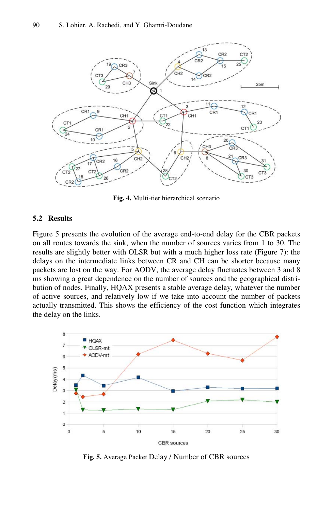

**Fig. 4.** Multi-tier hierarchical scenario

#### **5.2 Results**

Figure 5 presents the evolution of the average end-to-end delay for the CBR packets on all routes towards the sink, when the number of sources varies from 1 to 30. The results are slightly better with OLSR but with a much higher loss rate (Figure 7): the delays on the intermediate links between CR and CH can be shorter because many packets are lost on the way. For AODV, the average delay fluctuates between 3 and 8 ms showing a great dependence on the number of sources and the geographical distribution of nodes. Finally, HQAX presents a stable average delay, whatever the number of active sources, and relatively low if we take into account the number of packets actually transmitted. This shows the efficiency of the cost function which integrates the delay on the links.



**Fig. 5.** Average Packet Delay / Number of CBR sources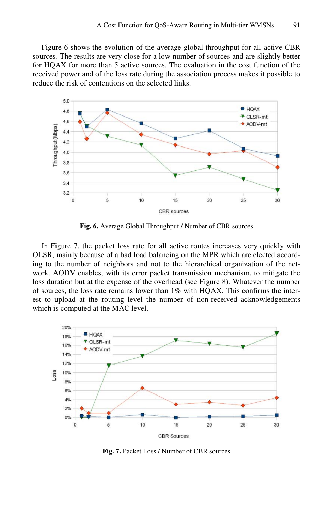Figure 6 shows the evolution of the average global throughput for all active CBR sources. The results are very close for a low number of sources and are slightly better for HQAX for more than 5 active sources. The evaluation in the cost function of the received power and of the loss rate during the association process makes it possible to reduce the risk of contentions on the selected links.



**Fig. 6.** Average Global Throughput / Number of CBR sources

In Figure 7, the packet loss rate for all active routes increases very quickly with OLSR, mainly because of a bad load balancing on the MPR which are elected according to the number of neighbors and not to the hierarchical organization of the network. AODV enables, with its error packet transmission mechanism, to mitigate the loss duration but at the expense of the overhead (see Figure 8). Whatever the number of sources, the loss rate remains lower than 1% with HQAX. This confirms the interest to upload at the routing level the number of non-received acknowledgements which is computed at the MAC level.



**Fig. 7.** Packet Loss / Number of CBR sources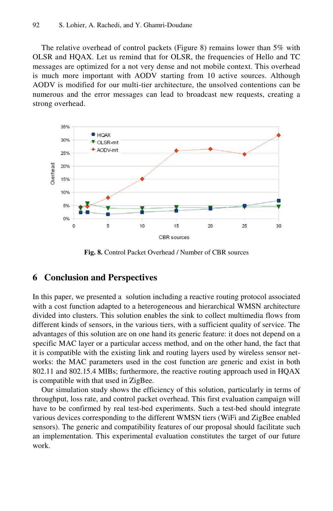The relative overhead of control packets (Figure 8) remains lower than 5% with OLSR and HQAX. Let us remind that for OLSR, the frequencies of Hello and TC messages are optimized for a not very dense and not mobile context. This overhead is much more important with AODV starting from 10 active sources. Although AODV is modified for our multi-tier architecture, the unsolved contentions can be numerous and the error messages can lead to broadcast new requests, creating a strong overhead.



**Fig. 8.** Control Packet Overhead / Number of CBR sources

## **6 Conclusion and Perspectives**

In this paper, we presented a solution including a reactive routing protocol associated with a cost function adapted to a heterogeneous and hierarchical WMSN architecture divided into clusters. This solution enables the sink to collect multimedia flows from different kinds of sensors, in the various tiers, with a sufficient quality of service. The advantages of this solution are on one hand its generic feature: it does not depend on a specific MAC layer or a particular access method, and on the other hand, the fact that it is compatible with the existing link and routing layers used by wireless sensor networks: the MAC parameters used in the cost function are generic and exist in both 802.11 and 802.15.4 MIBs; furthermore, the reactive routing approach used in HQAX is compatible with that used in ZigBee.

Our simulation study shows the efficiency of this solution, particularly in terms of throughput, loss rate, and control packet overhead. This first evaluation campaign will have to be confirmed by real test-bed experiments. Such a test-bed should integrate various devices corresponding to the different WMSN tiers (WiFi and ZigBee enabled sensors). The generic and compatibility features of our proposal should facilitate such an implementation. This experimental evaluation constitutes the target of our future work.